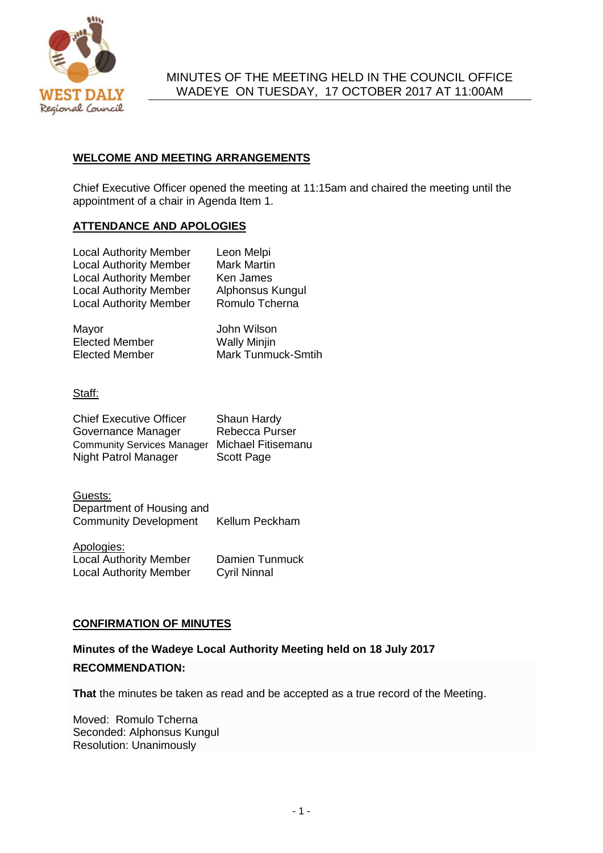

## MINUTES OF THE MEETING HELD IN THE COUNCIL OFFICE WADEYE ON TUESDAY, 17 OCTOBER 2017 AT 11:00AM

# **WELCOME AND MEETING ARRANGEMENTS**

Chief Executive Officer opened the meeting at 11:15am and chaired the meeting until the appointment of a chair in Agenda Item 1.

## **ATTENDANCE AND APOLOGIES**

| <b>Local Authority Member</b><br><b>Local Authority Member</b><br><b>Local Authority Member</b><br><b>Local Authority Member</b><br><b>Local Authority Member</b> | Leon Melpi<br><b>Mark Martin</b><br>Ken James<br>Alphonsus Kungul<br>Romulo Tcherna |
|-------------------------------------------------------------------------------------------------------------------------------------------------------------------|-------------------------------------------------------------------------------------|
|                                                                                                                                                                   |                                                                                     |
|                                                                                                                                                                   |                                                                                     |

Mayor **Mayor** John Wilson Elected Member<br>
Elected Member<br>
Mark Tunmu Mark Tunmuck-Smtih

Staff:

| <b>Chief Executive Officer</b>    | Shaun Hardy        |
|-----------------------------------|--------------------|
| Governance Manager                | Rebecca Purser     |
| <b>Community Services Manager</b> | Michael Fitisemanu |
| Night Patrol Manager              | <b>Scott Page</b>  |

Guests: Department of Housing and Community Development Kellum Peckham

Apologies: **Local Authority Member Damien Tunmuck<br>
Local Authority Member Cyril Ninnal** Local Authority Member

### **CONFIRMATION OF MINUTES**

### **Minutes of the Wadeye Local Authority Meeting held on 18 July 2017**

### **RECOMMENDATION:**

**That** the minutes be taken as read and be accepted as a true record of the Meeting.

Moved: Romulo Tcherna Seconded: Alphonsus Kungul Resolution: Unanimously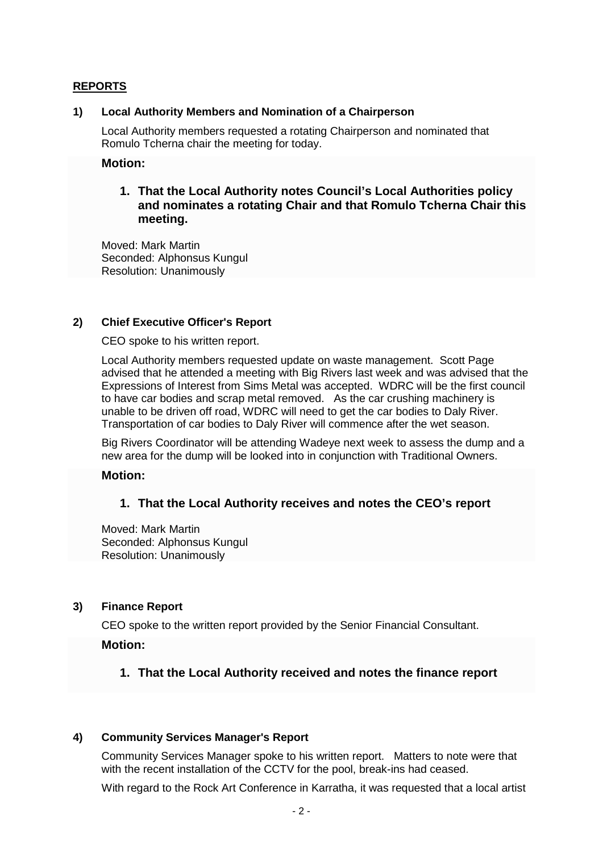### **REPORTS**

### **1) Local Authority Members and Nomination of a Chairperson**

Local Authority members requested a rotating Chairperson and nominated that Romulo Tcherna chair the meeting for today.

#### **Motion:**

# **1. That the Local Authority notes Council's Local Authorities policy and nominates a rotating Chair and that Romulo Tcherna Chair this meeting.**

Moved: Mark Martin Seconded: Alphonsus Kungul Resolution: Unanimously

#### **2) Chief Executive Officer's Report**

CEO spoke to his written report.

Local Authority members requested update on waste management. Scott Page advised that he attended a meeting with Big Rivers last week and was advised that the Expressions of Interest from Sims Metal was accepted. WDRC will be the first council to have car bodies and scrap metal removed. As the car crushing machinery is unable to be driven off road, WDRC will need to get the car bodies to Daly River. Transportation of car bodies to Daly River will commence after the wet season.

Big Rivers Coordinator will be attending Wadeye next week to assess the dump and a new area for the dump will be looked into in conjunction with Traditional Owners.

### **Motion:**

### **1. That the Local Authority receives and notes the CEO's report**

Moved: Mark Martin Seconded: Alphonsus Kungul Resolution: Unanimously

#### **3) Finance Report**

CEO spoke to the written report provided by the Senior Financial Consultant.

### **Motion:**

**1. That the Local Authority received and notes the finance report** 

### **4) Community Services Manager's Report**

Community Services Manager spoke to his written report. Matters to note were that with the recent installation of the CCTV for the pool, break-ins had ceased.

With regard to the Rock Art Conference in Karratha, it was requested that a local artist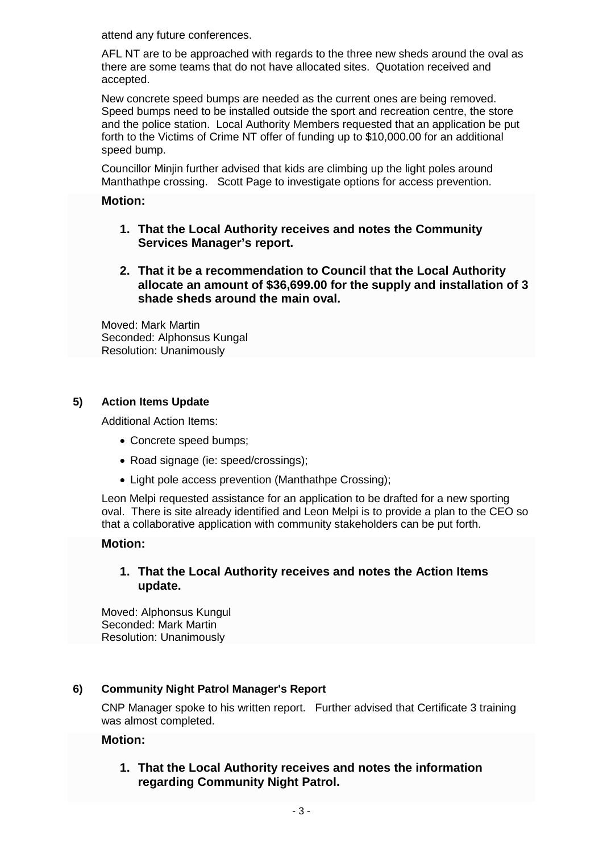attend any future conferences.

AFL NT are to be approached with regards to the three new sheds around the oval as there are some teams that do not have allocated sites. Quotation received and accepted.

New concrete speed bumps are needed as the current ones are being removed. Speed bumps need to be installed outside the sport and recreation centre, the store and the police station. Local Authority Members requested that an application be put forth to the Victims of Crime NT offer of funding up to \$10,000.00 for an additional speed bump.

Councillor Minjin further advised that kids are climbing up the light poles around Manthathpe crossing. Scott Page to investigate options for access prevention.

## **Motion:**

- **1. That the Local Authority receives and notes the Community Services Manager's report.**
- **2. That it be a recommendation to Council that the Local Authority allocate an amount of \$36,699.00 for the supply and installation of 3 shade sheds around the main oval.**

Moved: Mark Martin Seconded: Alphonsus Kungal Resolution: Unanimously

# **5) Action Items Update**

Additional Action Items:

- Concrete speed bumps;
- Road signage (ie: speed/crossings);
- Light pole access prevention (Manthathpe Crossing);

Leon Melpi requested assistance for an application to be drafted for a new sporting oval. There is site already identified and Leon Melpi is to provide a plan to the CEO so that a collaborative application with community stakeholders can be put forth.

### **Motion:**

# **1. That the Local Authority receives and notes the Action Items update.**

Moved: Alphonsus Kungul Seconded: Mark Martin Resolution: Unanimously

# **6) Community Night Patrol Manager's Report**

CNP Manager spoke to his written report. Further advised that Certificate 3 training was almost completed.

### **Motion:**

# **1. That the Local Authority receives and notes the information regarding Community Night Patrol.**